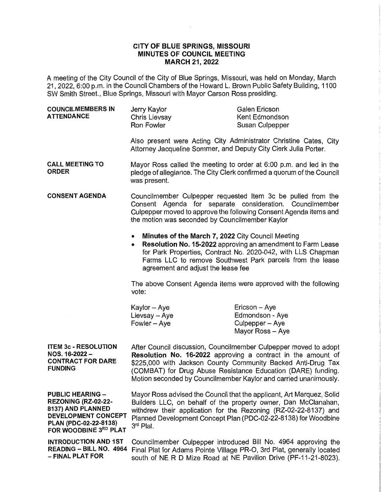## **CITY OF BLUE SPRINGS, MISSOURI MINUTES OF COUNCIL MEETING MARCH 21, 2022**

 $\sim$ 

A meeting of the City Council of the City of Blue Springs, Missouri, was held on Monday, March 21, 2022, 6:00 p.m. in the Council Chambers of the Howard L. Brown Public Safety Building, 1100 SW Smith Street., Blue Springs, Missouri with Mayor Carson Ross presiding.

| <b>COUNCILMEMBERS IN</b><br><b>ATTENDANCE</b>                                                                                                | Jerry Kaylor<br>Chris Lievsay<br>Ron Fowler                                                                                                                                                                                                                                                                                          | Galen Ericson<br>Kent Edmondson<br>Susan Culpepper                                                                                                                                       |
|----------------------------------------------------------------------------------------------------------------------------------------------|--------------------------------------------------------------------------------------------------------------------------------------------------------------------------------------------------------------------------------------------------------------------------------------------------------------------------------------|------------------------------------------------------------------------------------------------------------------------------------------------------------------------------------------|
|                                                                                                                                              | Attorney Jacqueline Sommer, and Deputy City Clerk Julia Porter.                                                                                                                                                                                                                                                                      | Also present were Acting City Administrator Christine Cates, City                                                                                                                        |
| <b>CALL MEETING TO</b><br><b>ORDER</b>                                                                                                       | Mayor Ross called the meeting to order at 6:00 p.m. and led in the<br>pledge of allegiance. The City Clerk confirmed a quorum of the Council<br>was present.                                                                                                                                                                         |                                                                                                                                                                                          |
| <b>CONSENT AGENDA</b>                                                                                                                        | Councilmember Culpepper requested Item 3c be pulled from the<br>Consent Agenda for separate consideration. Councilmember<br>Culpepper moved to approve the following Consent Agenda items and<br>the motion was seconded by Councilmember Kaylor                                                                                     |                                                                                                                                                                                          |
|                                                                                                                                              | Minutes of the March 7, 2022 City Council Meeting<br>$\bullet$<br>$\bullet$<br>agreement and adjust the lease fee                                                                                                                                                                                                                    | Resolution No. 15-2022 approving an amendment to Farm Lease<br>for Park Properties, Contract No. 2020-042, with LLS Chapman<br>Farms LLC to remove Southwest Park parcels from the lease |
|                                                                                                                                              | The above Consent Agenda items were approved with the following<br>vote:                                                                                                                                                                                                                                                             |                                                                                                                                                                                          |
|                                                                                                                                              | Kaylor - Aye<br>Lievsay - Aye<br>Fowler - Aye                                                                                                                                                                                                                                                                                        | Ericson - Aye<br>Edmondson - Aye<br>Culpepper - Aye<br>Mayor Ross - Aye                                                                                                                  |
| <b>ITEM 3c - RESOLUTION</b><br>NOS. 16-2022 -<br><b>CONTRACT FOR DARE</b><br><b>FUNDING</b>                                                  | After Council discussion, Councilmember Culpepper moved to adopt<br>Resolution No. 16-2022 approving a contract in the amount of<br>\$225,000 with Jackson County Community Backed Anti-Drug Tax<br>(COMBAT) for Drug Abuse Resistance Education (DARE) funding.<br>Motion seconded by Councilmember Kaylor and carried unanimously. |                                                                                                                                                                                          |
| <b>PUBLIC HEARING -</b><br>REZONING (RZ-02-22-<br>8137) AND PLANNED<br>DEVELOPMENT CONCEPT<br>PLAN (PDC-02-22-8138)<br>FOR WOODBINE 3RD PLAT | Mayor Ross advised the Council that the applicant, Art Marquez, Solid<br>Builders LLC, on behalf of the property owner, Dan McClanahan,<br>withdrew their application for the Rezoning (RZ-02-22-8137) and<br>Planned Development Concept Plan (PDC-02-22-8138) for Woodbine<br>3 <sup>rd</sup> Plat.                                |                                                                                                                                                                                          |
| <b>INTRODUCTION AND 1ST</b><br>READING - BILL NO. 4964<br>- FINAL PLAT FOR                                                                   | Councilmember Culpepper introduced Bill No. 4964 approving the<br>Final Plat for Adams Pointe Village PR-O, 3rd Plat, generally located<br>south of NE R D Mize Road at NE Pavilion Drive (PF-11-21-8023).                                                                                                                           |                                                                                                                                                                                          |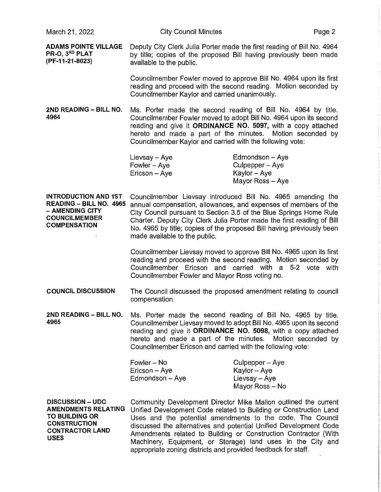**ADAMS POINTE VILLAGE** Deputy City Clerk Julia Porter made the first reading of Bill No. 4964<br>**PR-O. 3<sup>RD</sup> PLAT** by fitle: copies of the proposed Bill baying previously been made **PR-O, 3<sup>RD</sup> PLAT** by title; copies of the proposed Bill having previously been made<br>(PF-11-21-8023) available to the public available to the public.

> Councilmember Fowler moved to approve Bill No. 4964 upon its first reading and proceed with the second reading. Motion seconded by Councilmember Kaylor and carried unanimously.

**2ND READING - BILL NO.** Ms. Porter made the second reading of Bill No. 4964 by title. **4964** Councilmember Fowler moved to adopt Bill No. 4964 upon its second reading and give it **ORDINANCE NO. 5097,** with a copy attached hereto and made a part of the minutes. Motion seconded by Councilmember Kaylor and carried with the following vote:

| Lievsay - Aye | Edmondson - Aye  |
|---------------|------------------|
| Fowler – Aye  | Culpepper - Aye  |
| Ericson – Aye | Kaylor – Aye     |
|               | Mayor Ross - Ave |

**INTRODUCTION AND 1ST READING - BILL NO. 4965**  - **AMENDING CITY COUNCILMEMBER COMPENSATION**  Councilmember Lievsay introduced Bill No. 4965 amending the annual compensation, allowances, and expenses of members of the City Council pursuant to Section 3.5 of the Blue Springs Home Rule Charter. Deputy City Clerk Julia Porter made the first reading of Bill No. 4965 by title; copies of the proposed Bill having previously been made available to the public.

> Councilmember Lievsay moved to approve Bill No. 4965 upon its first reading and proceed with the second reading. Motion seconded by Councilmember Ericson and carried with a 5-2 vote with Councilmember Fowler and Mayor Ross voting no.

**COUNCIL DISCUSSION** The Council discussed the proposed amendment relating to council compensation.

**2ND READING - BILL NO.** Ms. Porter made the second reading of Bill No. 4965 by title. **4965** Councilmember Lievsay moved to adopt Bill No. 4965 upon its second reading and give it **ORDINANCE NO. 5098,** with a copy attached hereto and made a part of the minutes. Motion seconded by Councilmember Ericson and carried with the following vote:

| Fowler – No     | Culpepper - Aye |
|-----------------|-----------------|
| Ericson - Aye   | Kaylor - Aye    |
| Edmondson - Aye | Lievsay - Aye   |
|                 | Mayor Ross - No |

**DISCUSSION - UDC AMENDMENTS RELATING TO BUILDING OR CONSTRUCTION CONTRACTOR LAND USES** 

Community Development Director Mike Mallon outlined the current Unified Development Code related to Building or Construction Land Uses and the potential amendments to the code. The Council discussed the alternatives and potential Unified Development Code Amendments related to Building or Construction Contractor (With Machinery, Equipment, or Storage) land uses in the City and appropriate zoning districts and provided feedback for staff.